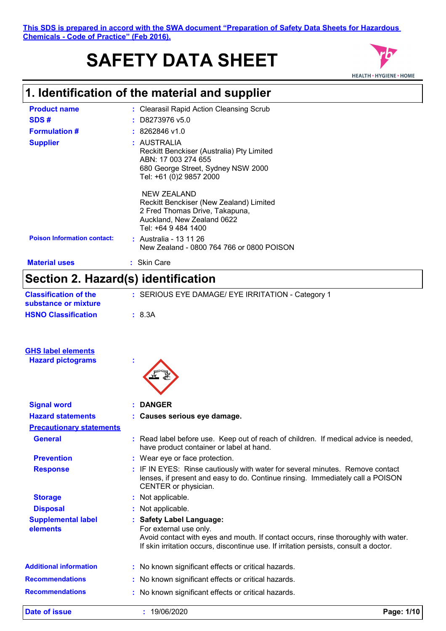# **SAFETY DATA SHEET**



## **1. Identification of the material and supplier**

| <b>Product name</b>                 | : Clearasil Rapid Action Cleansing Scrub                                                                                                                                                |  |  |
|-------------------------------------|-----------------------------------------------------------------------------------------------------------------------------------------------------------------------------------------|--|--|
| SDS#                                | D8273976 v5.0                                                                                                                                                                           |  |  |
| <b>Formulation #</b>                | $: 8262846$ v1.0                                                                                                                                                                        |  |  |
| <b>Supplier</b>                     | : AUSTRALIA                                                                                                                                                                             |  |  |
|                                     | Reckitt Benckiser (Australia) Pty Limited<br>ABN: 17 003 274 655                                                                                                                        |  |  |
|                                     | 680 George Street, Sydney NSW 2000                                                                                                                                                      |  |  |
|                                     | Tel: +61 (0)2 9857 2000                                                                                                                                                                 |  |  |
|                                     | <b>NEW ZEALAND</b>                                                                                                                                                                      |  |  |
|                                     | Reckitt Benckiser (New Zealand) Limited<br>2 Fred Thomas Drive, Takapuna,                                                                                                               |  |  |
|                                     | Auckland, New Zealand 0622                                                                                                                                                              |  |  |
|                                     | Tel: +64 9 484 1400                                                                                                                                                                     |  |  |
| <b>Poison Information contact:</b>  | : Australia - 13 11 26<br>New Zealand - 0800 764 766 or 0800 POISON                                                                                                                     |  |  |
| <b>Material uses</b>                | : Skin Care                                                                                                                                                                             |  |  |
| Section 2. Hazard(s) identification |                                                                                                                                                                                         |  |  |
| <b>Classification of the</b>        | : SERIOUS EYE DAMAGE/ EYE IRRITATION - Category 1                                                                                                                                       |  |  |
| substance or mixture                |                                                                                                                                                                                         |  |  |
| <b>HSNO Classification</b>          | : 8.3A                                                                                                                                                                                  |  |  |
|                                     |                                                                                                                                                                                         |  |  |
| <b>GHS label elements</b>           |                                                                                                                                                                                         |  |  |
| <b>Hazard pictograms</b>            |                                                                                                                                                                                         |  |  |
|                                     |                                                                                                                                                                                         |  |  |
|                                     |                                                                                                                                                                                         |  |  |
| <b>Signal word</b>                  | : DANGER                                                                                                                                                                                |  |  |
| <b>Hazard statements</b>            | : Causes serious eye damage.                                                                                                                                                            |  |  |
| <b>Precautionary statements</b>     |                                                                                                                                                                                         |  |  |
| <b>General</b>                      | : Read label before use. Keep out of reach of children. If medical advice is needed.<br>have product container or label at hand.                                                        |  |  |
| <b>Prevention</b>                   | : Wear eye or face protection.                                                                                                                                                          |  |  |
| <b>Response</b>                     | : IF IN EYES: Rinse cautiously with water for several minutes. Remove contact<br>lenses, if present and easy to do. Continue rinsing. Immediately call a POISON<br>CENTER or physician. |  |  |
| <b>Storage</b>                      | : Not applicable.                                                                                                                                                                       |  |  |
| <b>Disposal</b>                     | : Not applicable.                                                                                                                                                                       |  |  |
| <b>Supplemental label</b>           | : Safety Label Language:                                                                                                                                                                |  |  |
| elements                            | For external use only.                                                                                                                                                                  |  |  |
|                                     | Avoid contact with eyes and mouth. If contact occurs, rinse thoroughly with water.<br>If skin irritation occurs, discontinue use. If irritation persists, consult a doctor.             |  |  |
| <b>Additional information</b>       | : No known significant effects or critical hazards.                                                                                                                                     |  |  |
| <b>Recommendations</b>              | : No known significant effects or critical hazards.                                                                                                                                     |  |  |
| <b>Recommendations</b>              | : No known significant effects or critical hazards.                                                                                                                                     |  |  |
|                                     |                                                                                                                                                                                         |  |  |

**Date of issue :** 19/06/2020 **Page: 1/10**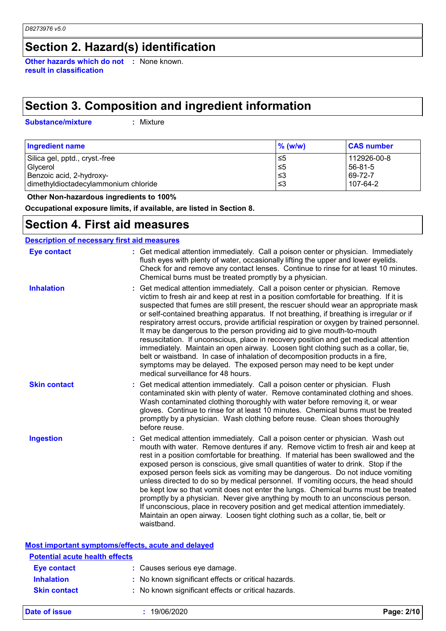### **Section 2. Hazard(s) identification**

**Other hazards which do not :** None known. **result in classification**

## **Section 3. Composition and ingredient information**

**Substance/mixture :**

: Mixture

| <b>Ingredient name</b>               | $\%$ (w/w) | <b>CAS number</b> |
|--------------------------------------|------------|-------------------|
| Silica gel, pptd., cryst.-free       | ו≥ ≥       | 112926-00-8       |
| Glycerol                             | $\leq 5$   | 56-81-5           |
| Benzoic acid, 2-hydroxy-             | ≤3         | 69-72-7           |
| dimethyldioctadecylammonium chloride | ≤3         | 107-64-2          |

 **Other Non-hazardous ingredients to 100%**

**Occupational exposure limits, if available, are listed in Section 8.**

### **Section 4. First aid measures**

| <b>Description of necessary first aid measures</b> |                                                                                                                                                                                                                                                                                                                                                                                                                                                                                                                                                                                                                                                                                                                                                                                                                                                                                                               |
|----------------------------------------------------|---------------------------------------------------------------------------------------------------------------------------------------------------------------------------------------------------------------------------------------------------------------------------------------------------------------------------------------------------------------------------------------------------------------------------------------------------------------------------------------------------------------------------------------------------------------------------------------------------------------------------------------------------------------------------------------------------------------------------------------------------------------------------------------------------------------------------------------------------------------------------------------------------------------|
| <b>Eye contact</b>                                 | : Get medical attention immediately. Call a poison center or physician. Immediately<br>flush eyes with plenty of water, occasionally lifting the upper and lower eyelids.<br>Check for and remove any contact lenses. Continue to rinse for at least 10 minutes.<br>Chemical burns must be treated promptly by a physician.                                                                                                                                                                                                                                                                                                                                                                                                                                                                                                                                                                                   |
| <b>Inhalation</b>                                  | Get medical attention immediately. Call a poison center or physician. Remove<br>victim to fresh air and keep at rest in a position comfortable for breathing. If it is<br>suspected that fumes are still present, the rescuer should wear an appropriate mask<br>or self-contained breathing apparatus. If not breathing, if breathing is irregular or if<br>respiratory arrest occurs, provide artificial respiration or oxygen by trained personnel.<br>It may be dangerous to the person providing aid to give mouth-to-mouth<br>resuscitation. If unconscious, place in recovery position and get medical attention<br>immediately. Maintain an open airway. Loosen tight clothing such as a collar, tie,<br>belt or waistband. In case of inhalation of decomposition products in a fire,<br>symptoms may be delayed. The exposed person may need to be kept under<br>medical surveillance for 48 hours. |
| <b>Skin contact</b>                                | Get medical attention immediately. Call a poison center or physician. Flush<br>contaminated skin with plenty of water. Remove contaminated clothing and shoes.<br>Wash contaminated clothing thoroughly with water before removing it, or wear<br>gloves. Continue to rinse for at least 10 minutes. Chemical burns must be treated<br>promptly by a physician. Wash clothing before reuse. Clean shoes thoroughly<br>before reuse.                                                                                                                                                                                                                                                                                                                                                                                                                                                                           |
| <b>Ingestion</b>                                   | Get medical attention immediately. Call a poison center or physician. Wash out<br>mouth with water. Remove dentures if any. Remove victim to fresh air and keep at<br>rest in a position comfortable for breathing. If material has been swallowed and the<br>exposed person is conscious, give small quantities of water to drink. Stop if the<br>exposed person feels sick as vomiting may be dangerous. Do not induce vomiting<br>unless directed to do so by medical personnel. If vomiting occurs, the head should<br>be kept low so that vomit does not enter the lungs. Chemical burns must be treated<br>promptly by a physician. Never give anything by mouth to an unconscious person.<br>If unconscious, place in recovery position and get medical attention immediately.<br>Maintain an open airway. Loosen tight clothing such as a collar, tie, belt or<br>waistband.                          |
| Most important symptoms/effects, acute and delayed |                                                                                                                                                                                                                                                                                                                                                                                                                                                                                                                                                                                                                                                                                                                                                                                                                                                                                                               |
| <b>Potential acute health effects</b>              |                                                                                                                                                                                                                                                                                                                                                                                                                                                                                                                                                                                                                                                                                                                                                                                                                                                                                                               |
|                                                    | . Osusaa saatana suu da                                                                                                                                                                                                                                                                                                                                                                                                                                                                                                                                                                                                                                                                                                                                                                                                                                                                                       |

| Eye contact         | : Causes serious eye damage.                        |
|---------------------|-----------------------------------------------------|
| <b>Inhalation</b>   | : No known significant effects or critical hazards. |
| <b>Skin contact</b> | : No known significant effects or critical hazards. |

**Date of issue :** 19/06/2020 **Page: 2/10**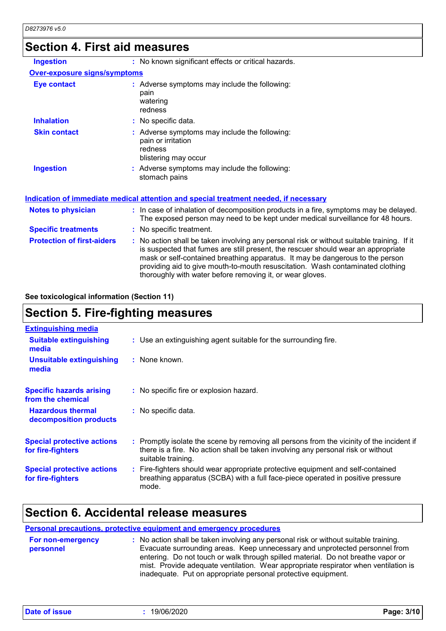### **Section 4. First aid measures**

| <b>Ingestion</b>                    | : No known significant effects or critical hazards.                                                                                                                                                                                                              |  |
|-------------------------------------|------------------------------------------------------------------------------------------------------------------------------------------------------------------------------------------------------------------------------------------------------------------|--|
| <b>Over-exposure signs/symptoms</b> |                                                                                                                                                                                                                                                                  |  |
| <b>Eye contact</b>                  | : Adverse symptoms may include the following:<br>pain<br>watering<br>redness                                                                                                                                                                                     |  |
| <b>Inhalation</b>                   | : No specific data.                                                                                                                                                                                                                                              |  |
| <b>Skin contact</b>                 | : Adverse symptoms may include the following:<br>pain or irritation<br>redness<br>blistering may occur                                                                                                                                                           |  |
| <b>Ingestion</b>                    | : Adverse symptoms may include the following:<br>stomach pains                                                                                                                                                                                                   |  |
|                                     | Indication of immediate medical attention and special treatment needed, if necessary                                                                                                                                                                             |  |
| <b>Notes to physician</b>           | : In case of inhalation of decomposition products in a fire, symptoms may be delayed.<br>The exposed person may need to be kept under medical surveillance for 48 hours.                                                                                         |  |
| <b>Specific treatments</b>          | : No specific treatment.                                                                                                                                                                                                                                         |  |
| <b>Protection of first-aiders</b>   | : No action shall be taken involving any personal risk or without suitable training. If it<br>is suspected that fumes are still present, the rescuer should wear an appropriate<br>mask or self-contained breathing apparatus. It may be dangerous to the person |  |

#### **See toxicological information (Section 11)**

## **Section 5. Fire-fighting measures**

| <b>Extinguishing media</b>                             |                                                                                                                                                                                                     |
|--------------------------------------------------------|-----------------------------------------------------------------------------------------------------------------------------------------------------------------------------------------------------|
| <b>Suitable extinguishing</b><br>media                 | : Use an extinguishing agent suitable for the surrounding fire.                                                                                                                                     |
| <b>Unsuitable extinguishing</b><br>media               | : None known.                                                                                                                                                                                       |
| <b>Specific hazards arising</b><br>from the chemical   | : No specific fire or explosion hazard.                                                                                                                                                             |
| <b>Hazardous thermal</b><br>decomposition products     | : No specific data.                                                                                                                                                                                 |
| <b>Special protective actions</b><br>for fire-fighters | : Promptly isolate the scene by removing all persons from the vicinity of the incident if<br>there is a fire. No action shall be taken involving any personal risk or without<br>suitable training. |
| <b>Special protective actions</b><br>for fire-fighters | : Fire-fighters should wear appropriate protective equipment and self-contained<br>breathing apparatus (SCBA) with a full face-piece operated in positive pressure<br>mode.                         |

### **Section 6. Accidental release measures**

#### **Personal precautions, protective equipment and emergency procedures**

| For non-emergency | : No action shall be taken involving any personal risk or without suitable training. |
|-------------------|--------------------------------------------------------------------------------------|
| personnel         | Evacuate surrounding areas. Keep unnecessary and unprotected personnel from          |
|                   | entering. Do not touch or walk through spilled material. Do not breathe vapor or     |
|                   | mist. Provide adequate ventilation. Wear appropriate respirator when ventilation is  |
|                   | inadequate. Put on appropriate personal protective equipment.                        |
|                   |                                                                                      |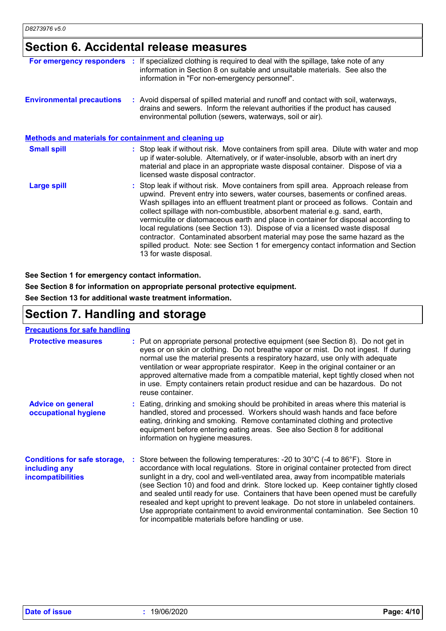# **Section 6. Accidental release measures**

| For emergency responders                                     | If specialized clothing is required to deal with the spillage, take note of any<br>information in Section 8 on suitable and unsuitable materials. See also the<br>information in "For non-emergency personnel".                                                                                                                                                                                                                                                                                                                                                                                                                                                                                                 |
|--------------------------------------------------------------|-----------------------------------------------------------------------------------------------------------------------------------------------------------------------------------------------------------------------------------------------------------------------------------------------------------------------------------------------------------------------------------------------------------------------------------------------------------------------------------------------------------------------------------------------------------------------------------------------------------------------------------------------------------------------------------------------------------------|
| <b>Environmental precautions</b>                             | : Avoid dispersal of spilled material and runoff and contact with soil, waterways,<br>drains and sewers. Inform the relevant authorities if the product has caused<br>environmental pollution (sewers, waterways, soil or air).                                                                                                                                                                                                                                                                                                                                                                                                                                                                                 |
| <b>Methods and materials for containment and cleaning up</b> |                                                                                                                                                                                                                                                                                                                                                                                                                                                                                                                                                                                                                                                                                                                 |
| <b>Small spill</b>                                           | : Stop leak if without risk. Move containers from spill area. Dilute with water and mop<br>up if water-soluble. Alternatively, or if water-insoluble, absorb with an inert dry<br>material and place in an appropriate waste disposal container. Dispose of via a<br>licensed waste disposal contractor.                                                                                                                                                                                                                                                                                                                                                                                                        |
| <b>Large spill</b>                                           | : Stop leak if without risk. Move containers from spill area. Approach release from<br>upwind. Prevent entry into sewers, water courses, basements or confined areas.<br>Wash spillages into an effluent treatment plant or proceed as follows. Contain and<br>collect spillage with non-combustible, absorbent material e.g. sand, earth,<br>vermiculite or diatomaceous earth and place in container for disposal according to<br>local regulations (see Section 13). Dispose of via a licensed waste disposal<br>contractor. Contaminated absorbent material may pose the same hazard as the<br>spilled product. Note: see Section 1 for emergency contact information and Section<br>13 for waste disposal. |

**See Section 1 for emergency contact information.**

**See Section 8 for information on appropriate personal protective equipment.**

**See Section 13 for additional waste treatment information.**

### **Section 7. Handling and storage**

| <b>Precautions for safe handling</b>                                             |                                                                                                                                                                                                                                                                                                                                                                                                                                                                                                                                                                                                                                                                                                |
|----------------------------------------------------------------------------------|------------------------------------------------------------------------------------------------------------------------------------------------------------------------------------------------------------------------------------------------------------------------------------------------------------------------------------------------------------------------------------------------------------------------------------------------------------------------------------------------------------------------------------------------------------------------------------------------------------------------------------------------------------------------------------------------|
| <b>Protective measures</b>                                                       | : Put on appropriate personal protective equipment (see Section 8). Do not get in<br>eyes or on skin or clothing. Do not breathe vapor or mist. Do not ingest. If during<br>normal use the material presents a respiratory hazard, use only with adequate<br>ventilation or wear appropriate respirator. Keep in the original container or an<br>approved alternative made from a compatible material, kept tightly closed when not<br>in use. Empty containers retain product residue and can be hazardous. Do not<br>reuse container.                                                                                                                                                        |
| <b>Advice on general</b><br>occupational hygiene                                 | : Eating, drinking and smoking should be prohibited in areas where this material is<br>handled, stored and processed. Workers should wash hands and face before<br>eating, drinking and smoking. Remove contaminated clothing and protective<br>equipment before entering eating areas. See also Section 8 for additional<br>information on hygiene measures.                                                                                                                                                                                                                                                                                                                                  |
| <b>Conditions for safe storage,</b><br>including any<br><b>incompatibilities</b> | : Store between the following temperatures: -20 to $30^{\circ}$ C (-4 to $86^{\circ}$ F). Store in<br>accordance with local regulations. Store in original container protected from direct<br>sunlight in a dry, cool and well-ventilated area, away from incompatible materials<br>(see Section 10) and food and drink. Store locked up. Keep container tightly closed<br>and sealed until ready for use. Containers that have been opened must be carefully<br>resealed and kept upright to prevent leakage. Do not store in unlabeled containers.<br>Use appropriate containment to avoid environmental contamination. See Section 10<br>for incompatible materials before handling or use. |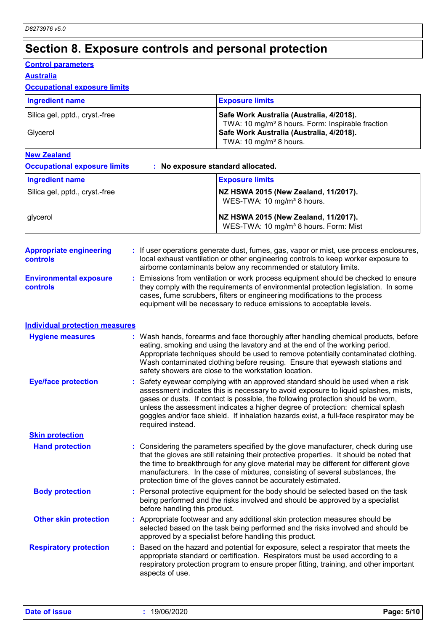# **Section 8. Exposure controls and personal protection**

#### **Control parameters**

#### **Australia**

#### **Occupational exposure limits**

| <b>Ingredient name</b>         | <b>Exposure limits</b>                                                                                   |
|--------------------------------|----------------------------------------------------------------------------------------------------------|
| Silica gel, pptd., cryst.-free | Safe Work Australia (Australia, 4/2018).<br>TWA: 10 mg/m <sup>3</sup> 8 hours. Form: Inspirable fraction |
| <b>Glvcerol</b>                | Safe Work Australia (Australia, 4/2018).<br>TWA: 10 mg/m <sup>3</sup> 8 hours.                           |

#### **New Zealand**

**Occupational exposure limits : No exposure standard allocated.**

| <b>Ingredient name</b>                            |                               | <b>Exposure limits</b>                                                                                                                                                                                                                                                                                                                                                                                                                 |
|---------------------------------------------------|-------------------------------|----------------------------------------------------------------------------------------------------------------------------------------------------------------------------------------------------------------------------------------------------------------------------------------------------------------------------------------------------------------------------------------------------------------------------------------|
| Silica gel, pptd., cryst.-free                    |                               | NZ HSWA 2015 (New Zealand, 11/2017).<br>WES-TWA: 10 mg/m <sup>3</sup> 8 hours.                                                                                                                                                                                                                                                                                                                                                         |
| glycerol                                          |                               | NZ HSWA 2015 (New Zealand, 11/2017).<br>WES-TWA: 10 mg/m <sup>3</sup> 8 hours. Form: Mist                                                                                                                                                                                                                                                                                                                                              |
| <b>Appropriate engineering</b><br><b>controls</b> |                               | : If user operations generate dust, fumes, gas, vapor or mist, use process enclosures,<br>local exhaust ventilation or other engineering controls to keep worker exposure to<br>airborne contaminants below any recommended or statutory limits.                                                                                                                                                                                       |
| <b>Environmental exposure</b><br><b>controls</b>  |                               | Emissions from ventilation or work process equipment should be checked to ensure<br>they comply with the requirements of environmental protection legislation. In some<br>cases, fume scrubbers, filters or engineering modifications to the process<br>equipment will be necessary to reduce emissions to acceptable levels.                                                                                                          |
| <b>Individual protection measures</b>             |                               |                                                                                                                                                                                                                                                                                                                                                                                                                                        |
| <b>Hygiene measures</b>                           |                               | : Wash hands, forearms and face thoroughly after handling chemical products, before<br>eating, smoking and using the lavatory and at the end of the working period.<br>Appropriate techniques should be used to remove potentially contaminated clothing.<br>Wash contaminated clothing before reusing. Ensure that eyewash stations and<br>safety showers are close to the workstation location.                                      |
| <b>Eye/face protection</b>                        | required instead.             | : Safety eyewear complying with an approved standard should be used when a risk<br>assessment indicates this is necessary to avoid exposure to liquid splashes, mists,<br>gases or dusts. If contact is possible, the following protection should be worn,<br>unless the assessment indicates a higher degree of protection: chemical splash<br>goggles and/or face shield. If inhalation hazards exist, a full-face respirator may be |
| <b>Skin protection</b>                            |                               |                                                                                                                                                                                                                                                                                                                                                                                                                                        |
| <b>Hand protection</b>                            |                               | : Considering the parameters specified by the glove manufacturer, check during use<br>that the gloves are still retaining their protective properties. It should be noted that<br>the time to breakthrough for any glove material may be different for different glove<br>manufacturers. In the case of mixtures, consisting of several substances, the<br>protection time of the gloves cannot be accurately estimated.               |
| <b>Body protection</b>                            | before handling this product. | : Personal protective equipment for the body should be selected based on the task<br>being performed and the risks involved and should be approved by a specialist                                                                                                                                                                                                                                                                     |
| <b>Other skin protection</b>                      |                               | : Appropriate footwear and any additional skin protection measures should be<br>selected based on the task being performed and the risks involved and should be<br>approved by a specialist before handling this product.                                                                                                                                                                                                              |
| <b>Respiratory protection</b>                     | aspects of use.               | : Based on the hazard and potential for exposure, select a respirator that meets the<br>appropriate standard or certification. Respirators must be used according to a<br>respiratory protection program to ensure proper fitting, training, and other important                                                                                                                                                                       |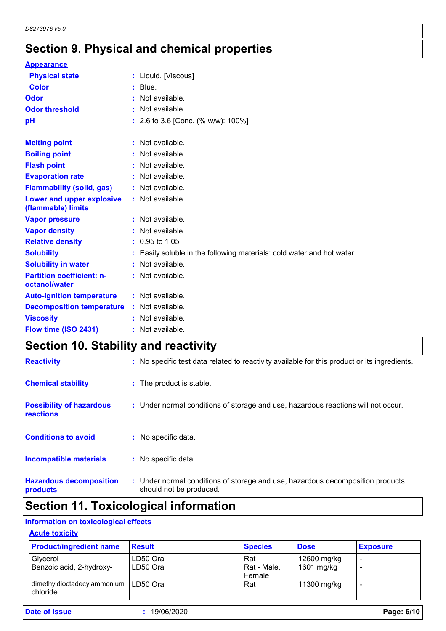# **Section 9. Physical and chemical properties**

| <b>Appearance</b>                                 |                                                                        |
|---------------------------------------------------|------------------------------------------------------------------------|
| <b>Physical state</b>                             | : Liquid. [Viscous]                                                    |
| <b>Color</b>                                      | $:$ Blue.                                                              |
| Odor                                              | : Not available.                                                       |
| <b>Odor threshold</b>                             | : Not available.                                                       |
| pH                                                | : 2.6 to 3.6 [Conc. $%$ w/w): 100%]                                    |
| <b>Melting point</b>                              | $:$ Not available.                                                     |
| <b>Boiling point</b>                              | : Not available.                                                       |
| <b>Flash point</b>                                | : Not available.                                                       |
| <b>Evaporation rate</b>                           | : Not available.                                                       |
| <b>Flammability (solid, gas)</b>                  | : Not available.                                                       |
| Lower and upper explosive<br>(flammable) limits   | : Not available.                                                       |
| <b>Vapor pressure</b>                             | : Not available.                                                       |
| <b>Vapor density</b>                              | $:$ Not available.                                                     |
| <b>Relative density</b>                           | $: 0.95$ to 1.05                                                       |
| <b>Solubility</b>                                 | : Easily soluble in the following materials: cold water and hot water. |
| <b>Solubility in water</b>                        | : Not available.                                                       |
| <b>Partition coefficient: n-</b><br>octanol/water | : Not available.                                                       |
| <b>Auto-ignition temperature</b>                  | : Not available.                                                       |
| <b>Decomposition temperature</b>                  | $:$ Not available.                                                     |
| <b>Viscosity</b>                                  | : Not available.                                                       |
| Flow time (ISO 2431)                              | : Not available.                                                       |

# **Section 10. Stability and reactivity**

| <b>Hazardous decomposition</b><br>products   | : Under normal conditions of storage and use, hazardous decomposition products<br>should not be produced. |
|----------------------------------------------|-----------------------------------------------------------------------------------------------------------|
| Incompatible materials                       | : No specific data.                                                                                       |
| <b>Conditions to avoid</b>                   | : No specific data.                                                                                       |
| <b>Possibility of hazardous</b><br>reactions | : Under normal conditions of storage and use, hazardous reactions will not occur.                         |
| <b>Chemical stability</b>                    | : The product is stable.                                                                                  |
| <b>Reactivity</b>                            | : No specific test data related to reactivity available for this product or its ingredients.              |

## **Section 11. Toxicological information**

### **Information on toxicological effects**

#### **Acute toxicity**

| <b>Product/ingredient name</b>                        | <b>Result</b> | <b>Species</b>        | <b>Dose</b> | <b>Exposure</b> |
|-------------------------------------------------------|---------------|-----------------------|-------------|-----------------|
| Glycerol                                              | LD50 Oral     | Rat                   | 12600 mg/kg |                 |
| Benzoic acid, 2-hydroxy-                              | l LD50 Oral   | Rat - Male,<br>Female | 1601 mg/kg  |                 |
| dimethyldioctadecylammonium   LD50 Oral<br>l chloride |               | Rat                   | 11300 mg/kg |                 |

**Date of issue :** 19/06/2020 **Page: 6/10**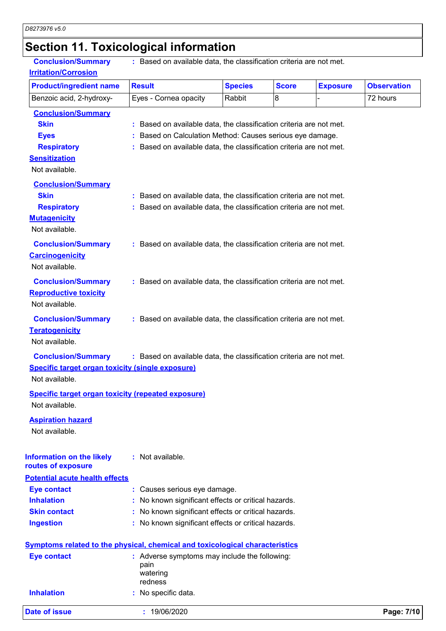# **Section 11. Toxicological information**

| <b>Product/ingredient name</b>                                                      | <b>Result</b>                                                       | <b>Species</b> | <b>Score</b> | <b>Exposure</b> | <b>Observation</b> |
|-------------------------------------------------------------------------------------|---------------------------------------------------------------------|----------------|--------------|-----------------|--------------------|
| Benzoic acid, 2-hydroxy-                                                            | Eyes - Cornea opacity                                               | Rabbit         | 8            |                 | 72 hours           |
| <b>Conclusion/Summary</b>                                                           |                                                                     |                |              |                 |                    |
| <b>Skin</b>                                                                         | : Based on available data, the classification criteria are not met. |                |              |                 |                    |
| <b>Eyes</b>                                                                         | : Based on Calculation Method: Causes serious eye damage.           |                |              |                 |                    |
| <b>Respiratory</b>                                                                  | : Based on available data, the classification criteria are not met. |                |              |                 |                    |
| <b>Sensitization</b>                                                                |                                                                     |                |              |                 |                    |
| Not available.                                                                      |                                                                     |                |              |                 |                    |
| <b>Conclusion/Summary</b>                                                           |                                                                     |                |              |                 |                    |
| <b>Skin</b>                                                                         | : Based on available data, the classification criteria are not met. |                |              |                 |                    |
| <b>Respiratory</b>                                                                  | : Based on available data, the classification criteria are not met. |                |              |                 |                    |
| <b>Mutagenicity</b>                                                                 |                                                                     |                |              |                 |                    |
| Not available.                                                                      |                                                                     |                |              |                 |                    |
| <b>Conclusion/Summary</b>                                                           | : Based on available data, the classification criteria are not met. |                |              |                 |                    |
| Carcinogenicity                                                                     |                                                                     |                |              |                 |                    |
| Not available.                                                                      |                                                                     |                |              |                 |                    |
| <b>Conclusion/Summary</b>                                                           | : Based on available data, the classification criteria are not met. |                |              |                 |                    |
| <b>Reproductive toxicity</b>                                                        |                                                                     |                |              |                 |                    |
| Not available.                                                                      |                                                                     |                |              |                 |                    |
|                                                                                     |                                                                     |                |              |                 |                    |
| <b>Conclusion/Summary</b>                                                           | : Based on available data, the classification criteria are not met. |                |              |                 |                    |
| <b>Teratogenicity</b>                                                               |                                                                     |                |              |                 |                    |
| Not available.                                                                      |                                                                     |                |              |                 |                    |
| <b>Conclusion/Summary</b>                                                           | : Based on available data, the classification criteria are not met. |                |              |                 |                    |
| <b>Specific target organ toxicity (single exposure)</b>                             |                                                                     |                |              |                 |                    |
| Not available.                                                                      |                                                                     |                |              |                 |                    |
| <b>Specific target organ toxicity (repeated exposure)</b>                           |                                                                     |                |              |                 |                    |
| Not available.                                                                      |                                                                     |                |              |                 |                    |
| <b>Aspiration hazard</b>                                                            |                                                                     |                |              |                 |                    |
| Not available.                                                                      |                                                                     |                |              |                 |                    |
|                                                                                     |                                                                     |                |              |                 |                    |
| <b>Information on the likely</b>                                                    | : Not available.                                                    |                |              |                 |                    |
| routes of exposure                                                                  |                                                                     |                |              |                 |                    |
| <b>Potential acute health effects</b>                                               |                                                                     |                |              |                 |                    |
| <b>Eye contact</b>                                                                  | : Causes serious eye damage.                                        |                |              |                 |                    |
| <b>Inhalation</b>                                                                   | : No known significant effects or critical hazards.                 |                |              |                 |                    |
| <b>Skin contact</b>                                                                 | : No known significant effects or critical hazards.                 |                |              |                 |                    |
| <b>Ingestion</b>                                                                    | : No known significant effects or critical hazards.                 |                |              |                 |                    |
| <b>Symptoms related to the physical, chemical and toxicological characteristics</b> |                                                                     |                |              |                 |                    |
| <b>Eye contact</b>                                                                  | : Adverse symptoms may include the following:                       |                |              |                 |                    |
|                                                                                     | pain                                                                |                |              |                 |                    |
|                                                                                     | watering<br>redness                                                 |                |              |                 |                    |
| <b>Inhalation</b>                                                                   | No specific data.                                                   |                |              |                 |                    |
|                                                                                     |                                                                     |                |              |                 |                    |
| <b>Date of issue</b>                                                                | : 19/06/2020                                                        |                |              |                 | Page: 7/10         |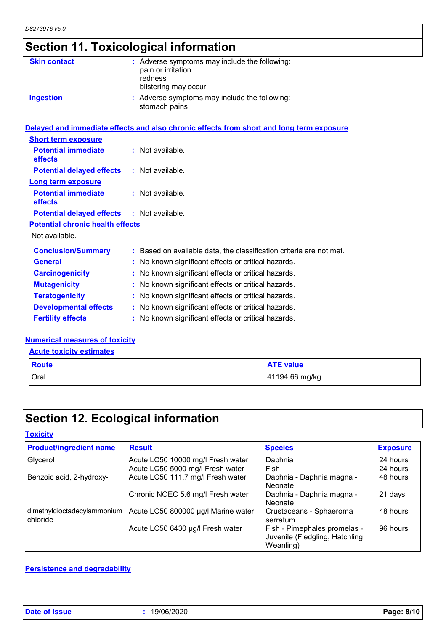# **Section 11. Toxicological information**

| <b>Skin contact</b>                     | : Adverse symptoms may include the following:<br>pain or irritation<br>redness           |
|-----------------------------------------|------------------------------------------------------------------------------------------|
|                                         | blistering may occur                                                                     |
| <b>Ingestion</b>                        | : Adverse symptoms may include the following:<br>stomach pains                           |
|                                         | Delayed and immediate effects and also chronic effects from short and long term exposure |
| <b>Short term exposure</b>              |                                                                                          |
| <b>Potential immediate</b><br>effects   | : Not available.                                                                         |
| <b>Potential delayed effects</b>        | : Not available.                                                                         |
| <b>Long term exposure</b>               |                                                                                          |
| <b>Potential immediate</b><br>effects   | : Not available.                                                                         |
| <b>Potential delayed effects</b>        | : Not available.                                                                         |
| <b>Potential chronic health effects</b> |                                                                                          |
| Not available.                          |                                                                                          |
| <b>Conclusion/Summary</b>               | : Based on available data, the classification criteria are not met.                      |
| <b>General</b>                          | : No known significant effects or critical hazards.                                      |
| <b>Carcinogenicity</b>                  | : No known significant effects or critical hazards.                                      |
| <b>Mutagenicity</b>                     | : No known significant effects or critical hazards.                                      |
| <b>Teratogenicity</b>                   | : No known significant effects or critical hazards.                                      |
| <b>Developmental effects</b>            | : No known significant effects or critical hazards.                                      |
| <b>Fertility effects</b>                | : No known significant effects or critical hazards.                                      |

#### **Numerical measures of toxicity**

#### **Acute toxicity estimates**

| <b>Route</b> | <b>ATE value</b> |
|--------------|------------------|
| <b>Oral</b>  | 41194.66 mg/kg   |

# **Section 12. Ecological information**

#### **Toxicity**

| <b>Product/ingredient name</b>          | <b>Result</b>                       | <b>Species</b>                                                               | <b>Exposure</b> |
|-----------------------------------------|-------------------------------------|------------------------------------------------------------------------------|-----------------|
| Glycerol                                | Acute LC50 10000 mg/l Fresh water   | Daphnia                                                                      | 24 hours        |
|                                         | Acute LC50 5000 mg/l Fresh water    | Fish                                                                         | 24 hours        |
| Benzoic acid, 2-hydroxy-                | Acute LC50 111.7 mg/l Fresh water   | Daphnia - Daphnia magna -<br>Neonate                                         | 48 hours        |
|                                         | Chronic NOEC 5.6 mg/l Fresh water   | Daphnia - Daphnia magna -<br>Neonate                                         | 21 days         |
| dimethyldioctadecylammonium<br>chloride | Acute LC50 800000 µg/l Marine water | Crustaceans - Sphaeroma<br>serratum                                          | 48 hours        |
|                                         | Acute LC50 6430 µg/l Fresh water    | Fish - Pimephales promelas -<br>Juvenile (Fledgling, Hatchling,<br>Weanling) | 96 hours        |

#### **Persistence and degradability**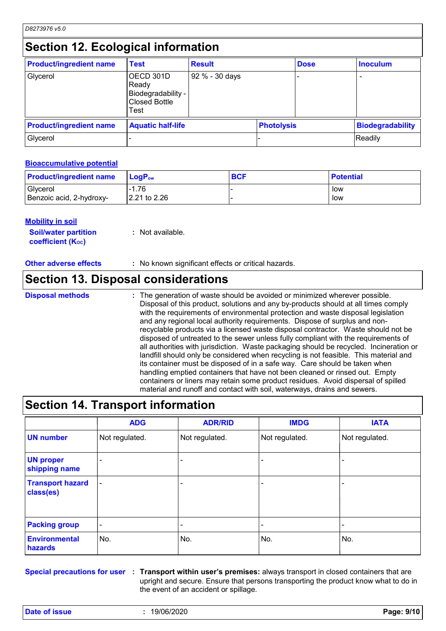### **Section 12. Ecological information**

| <b>Product/ingredient name</b> | <b>Test</b>                                                              | <b>Result</b>  |                   | <b>Dose</b> | <b>Inoculum</b>         |
|--------------------------------|--------------------------------------------------------------------------|----------------|-------------------|-------------|-------------------------|
| Glycerol                       | OECD 301D<br>Ready<br>Biodegradability -<br><b>Closed Bottle</b><br>Test | 92 % - 30 days |                   |             |                         |
| <b>Product/ingredient name</b> | <b>Aquatic half-life</b>                                                 |                | <b>Photolysis</b> |             | <b>Biodegradability</b> |
| Glycerol                       |                                                                          |                |                   |             | Readily                 |

#### **Bioaccumulative potential**

| <b>Product/ingredient name</b> | $LoaPow$                 | <b>BCF</b> | <b>Potential</b> |
|--------------------------------|--------------------------|------------|------------------|
| Glycerol                       | $-1.76$                  |            | low              |
| Benzoic acid, 2-hydroxy-       | $ 2.21 \text{ to } 2.26$ |            | low              |

#### **Mobility in soil**

| <b>Soil/water partition</b> | : Not available. |
|-----------------------------|------------------|
| <b>coefficient (Koc)</b>    |                  |

**Other adverse effects :** No known significant effects or critical hazards.

### **Section 13. Disposal considerations**

#### **Disposal methods :**

The generation of waste should be avoided or minimized wherever possible. Disposal of this product, solutions and any by-products should at all times comply with the requirements of environmental protection and waste disposal legislation and any regional local authority requirements. Dispose of surplus and nonrecyclable products via a licensed waste disposal contractor. Waste should not be disposed of untreated to the sewer unless fully compliant with the requirements of all authorities with jurisdiction. Waste packaging should be recycled. Incineration or landfill should only be considered when recycling is not feasible. This material and its container must be disposed of in a safe way. Care should be taken when handling emptied containers that have not been cleaned or rinsed out. Empty containers or liners may retain some product residues. Avoid dispersal of spilled material and runoff and contact with soil, waterways, drains and sewers.

### **Section 14. Transport information**

|                                      | <b>ADG</b>               | <b>ADR/RID</b> | <b>IMDG</b>              | <b>IATA</b>    |
|--------------------------------------|--------------------------|----------------|--------------------------|----------------|
| <b>UN number</b>                     | Not regulated.           | Not regulated. | Not regulated.           | Not regulated. |
| <b>UN proper</b><br>shipping name    | $\qquad \qquad$          |                | $\overline{\phantom{0}}$ |                |
| <b>Transport hazard</b><br>class(es) | $\blacksquare$           |                | $\overline{\phantom{0}}$ |                |
| <b>Packing group</b>                 | $\overline{\phantom{a}}$ |                | $\overline{\phantom{0}}$ |                |
| <b>Environmental</b><br>hazards      | No.                      | No.            | No.                      | No.            |

**Special precautions for user Transport within user's premises:** always transport in closed containers that are **:** upright and secure. Ensure that persons transporting the product know what to do in the event of an accident or spillage.

**Date of issue :** 19/06/2020 **Page: 9/10**